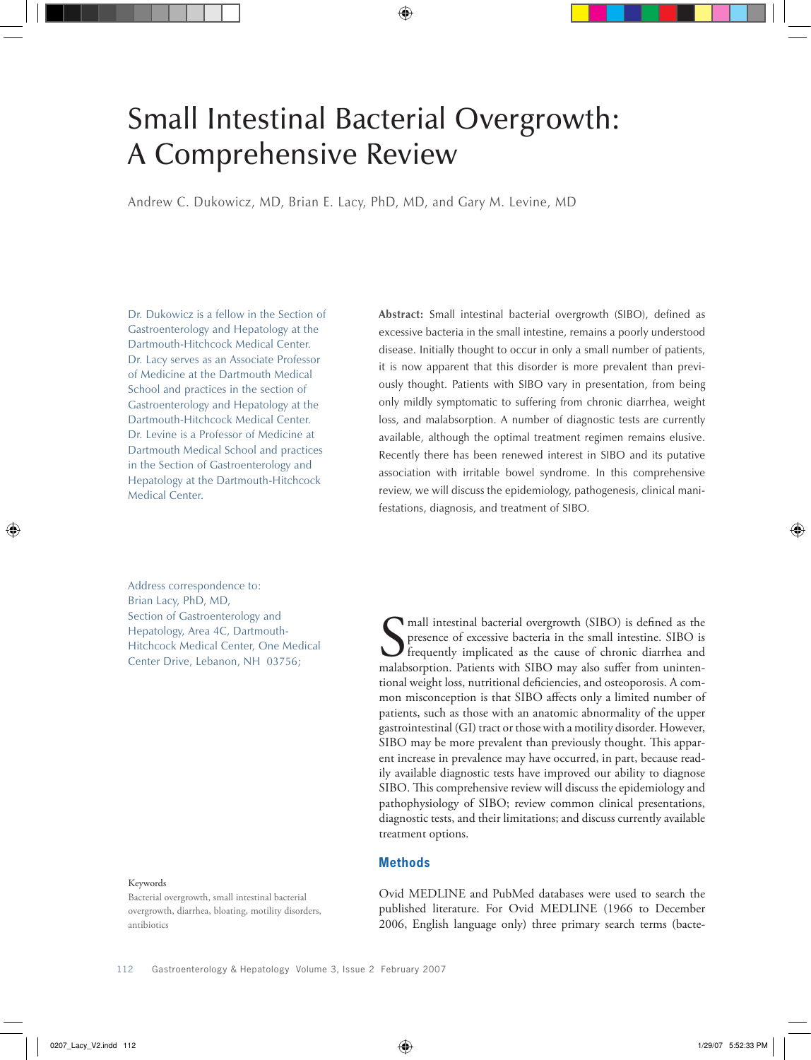# Small Intestinal Bacterial Overgrowth: A Comprehensive Review

Andrew C. Dukowicz, MD, Brian E. Lacy, PhD, MD, and Gary M. Levine, MD

Dr. Dukowicz is a fellow in the Section of Gastroenterology and Hepatology at the Dartmouth-Hitchcock Medical Center. Dr. Lacy serves as an Associate Professor of Medicine at the Dartmouth Medical School and practices in the section of Gastroenterology and Hepatology at the Dartmouth-Hitchcock Medical Center. Dr. Levine is a Professor of Medicine at Dartmouth Medical School and practices in the Section of Gastroenterology and Hepatology at the Dartmouth-Hitchcock Medical Center.

**Abstract:** Small intestinal bacterial overgrowth (SIBO), defined as excessive bacteria in the small intestine, remains a poorly understood disease. Initially thought to occur in only a small number of patients, it is now apparent that this disorder is more prevalent than previously thought. Patients with SIBO vary in presentation, from being only mildly symptomatic to suffering from chronic diarrhea, weight loss, and malabsorption. A number of diagnostic tests are currently available, although the optimal treatment regimen remains elusive. Recently there has been renewed interest in SIBO and its putative association with irritable bowel syndrome. In this comprehensive review, we will discuss the epidemiology, pathogenesis, clinical manifestations, diagnosis, and treatment of SIBO.

Address correspondence to: Brian Lacy, PhD, MD, Section of Gastroenterology and Hepatology, Area 4C, Dartmouth-Hitchcock Medical Center, One Medical Center Drive, Lebanon, NH 03756;

#### Keywords

Bacterial overgrowth, small intestinal bacterial overgrowth, diarrhea, bloating, motility disorders, antibiotics

Samall intestinal bacterial overgrowth (SIBO) is defined as the presence of excessive bacteria in the small intestine. SIBO is frequently implicated as the cause of chronic diarrhea and malabsorption. Patients with SIBO ma mall intestinal bacterial overgrowth (SIBO) is defined as the presence of excessive bacteria in the small intestine. SIBO is frequently implicated as the cause of chronic diarrhea and tional weight loss, nutritional deficiencies, and osteoporosis. A common misconception is that SIBO affects only a limited number of patients, such as those with an anatomic abnormality of the upper gastrointestinal (GI) tract or those with a motility disorder. However, SIBO may be more prevalent than previously thought. This apparent increase in prevalence may have occurred, in part, because readily available diagnostic tests have improved our ability to diagnose SIBO. This comprehensive review will discuss the epidemiology and pathophysiology of SIBO; review common clinical presentations, diagnostic tests, and their limitations; and discuss currently available treatment options.

## **Methods**

Ovid MEDLINE and PubMed databases were used to search the published literature. For Ovid MEDLINE (1966 to December 2006, English language only) three primary search terms (bacte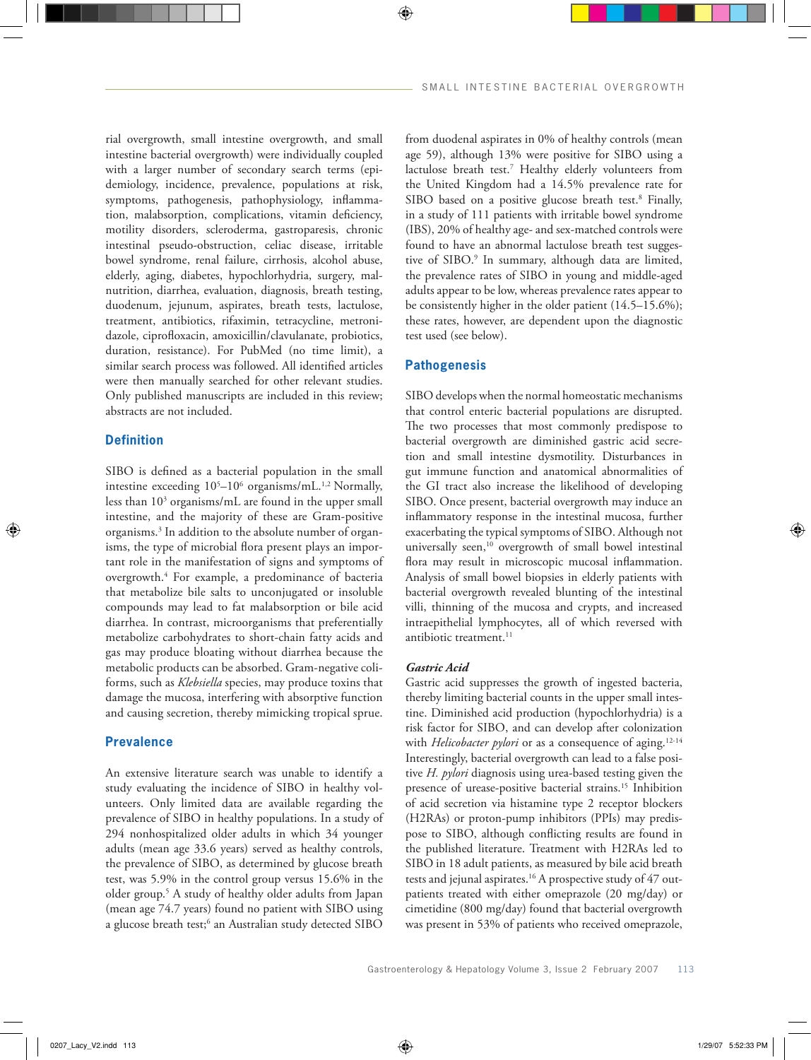rial overgrowth, small intestine overgrowth, and small intestine bacterial overgrowth) were individually coupled with a larger number of secondary search terms (epidemiology, incidence, prevalence, populations at risk, symptoms, pathogenesis, pathophysiology, inflammation, malabsorption, complications, vitamin deficiency, motility disorders, scleroderma, gastroparesis, chronic intestinal pseudo-obstruction, celiac disease, irritable bowel syndrome, renal failure, cirrhosis, alcohol abuse, elderly, aging, diabetes, hypochlorhydria, surgery, malnutrition, diarrhea, evaluation, diagnosis, breath testing, duodenum, jejunum, aspirates, breath tests, lactulose, treatment, antibiotics, rifaximin, tetracycline, metronidazole, ciprofloxacin, amoxicillin/clavulanate, probiotics, duration, resistance). For PubMed (no time limit), a similar search process was followed. All identified articles were then manually searched for other relevant studies. Only published manuscripts are included in this review; abstracts are not included.

# **Definition**

SIBO is defined as a bacterial population in the small intestine exceeding 105 –106 organisms/mL.1,2 Normally, less than 103 organisms/mL are found in the upper small intestine, and the majority of these are Gram-positive organisms.3 In addition to the absolute number of organisms, the type of microbial flora present plays an important role in the manifestation of signs and symptoms of overgrowth.4 For example, a predominance of bacteria that metabolize bile salts to unconjugated or insoluble compounds may lead to fat malabsorption or bile acid diarrhea. In contrast, microorganisms that preferentially metabolize carbohydrates to short-chain fatty acids and gas may produce bloating without diarrhea because the metabolic products can be absorbed. Gram-negative coliforms, such as *Klebsiella* species, may produce toxins that damage the mucosa, interfering with absorptive function and causing secretion, thereby mimicking tropical sprue.

# **Prevalence**

An extensive literature search was unable to identify a study evaluating the incidence of SIBO in healthy volunteers. Only limited data are available regarding the prevalence of SIBO in healthy populations. In a study of 294 nonhospitalized older adults in which 34 younger adults (mean age 33.6 years) served as healthy controls, the prevalence of SIBO, as determined by glucose breath test, was 5.9% in the control group versus 15.6% in the older group.5 A study of healthy older adults from Japan (mean age 74.7 years) found no patient with SIBO using a glucose breath test;<sup>6</sup> an Australian study detected SIBO from duodenal aspirates in 0% of healthy controls (mean age 59), although 13% were positive for SIBO using a lactulose breath test.7 Healthy elderly volunteers from the United Kingdom had a 14.5% prevalence rate for SIBO based on a positive glucose breath test.<sup>8</sup> Finally, in a study of 111 patients with irritable bowel syndrome (IBS), 20% of healthy age- and sex-matched controls were found to have an abnormal lactulose breath test suggestive of SIBO.<sup>9</sup> In summary, although data are limited, the prevalence rates of SIBO in young and middle-aged adults appear to be low, whereas prevalence rates appear to be consistently higher in the older patient (14.5–15.6%); these rates, however, are dependent upon the diagnostic test used (see below).

## **Pathogenesis**

SIBO develops when the normal homeostatic mechanisms that control enteric bacterial populations are disrupted. The two processes that most commonly predispose to bacterial overgrowth are diminished gastric acid secretion and small intestine dysmotility. Disturbances in gut immune function and anatomical abnormalities of the GI tract also increase the likelihood of developing SIBO. Once present, bacterial overgrowth may induce an inflammatory response in the intestinal mucosa, further exacerbating the typical symptoms of SIBO. Although not universally seen,<sup>10</sup> overgrowth of small bowel intestinal flora may result in microscopic mucosal inflammation. Analysis of small bowel biopsies in elderly patients with bacterial overgrowth revealed blunting of the intestinal villi, thinning of the mucosa and crypts, and increased intraepithelial lymphocytes, all of which reversed with antibiotic treatment.<sup>11</sup>

# *Gastric Acid*

Gastric acid suppresses the growth of ingested bacteria, thereby limiting bacterial counts in the upper small intestine. Diminished acid production (hypochlorhydria) is a risk factor for SIBO, and can develop after colonization with *Helicobacter pylori* or as a consequence of aging.<sup>12-14</sup> Interestingly, bacterial overgrowth can lead to a false positive *H. pylori* diagnosis using urea-based testing given the presence of urease-positive bacterial strains.<sup>15</sup> Inhibition of acid secretion via histamine type 2 receptor blockers (H2RAs) or proton-pump inhibitors (PPIs) may predispose to SIBO, although conflicting results are found in the published literature. Treatment with H2RAs led to SIBO in 18 adult patients, as measured by bile acid breath tests and jejunal aspirates.<sup>16</sup> A prospective study of 47 outpatients treated with either omeprazole (20 mg/day) or cimetidine (800 mg/day) found that bacterial overgrowth was present in 53% of patients who received omeprazole,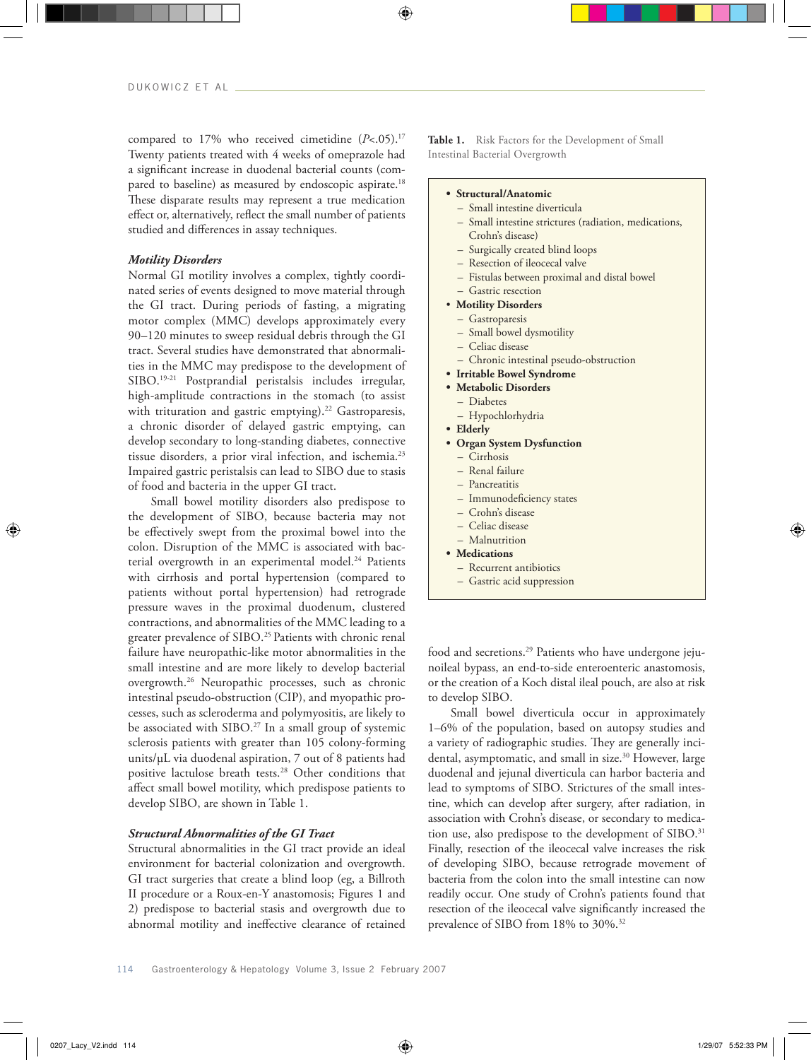compared to 17% who received cimetidine ( $P$ <.05).<sup>17</sup> Twenty patients treated with 4 weeks of omeprazole had a significant increase in duodenal bacterial counts (compared to baseline) as measured by endoscopic aspirate.<sup>18</sup> These disparate results may represent a true medication effect or, alternatively, reflect the small number of patients studied and differences in assay techniques.

## *Motility Disorders*

Normal GI motility involves a complex, tightly coordinated series of events designed to move material through the GI tract. During periods of fasting, a migrating motor complex (MMC) develops approximately every 90–120 minutes to sweep residual debris through the GI tract. Several studies have demonstrated that abnormalities in the MMC may predispose to the development of SIBO.19-21 Postprandial peristalsis includes irregular, high-amplitude contractions in the stomach (to assist with trituration and gastric emptying).<sup>22</sup> Gastroparesis, a chronic disorder of delayed gastric emptying, can develop secondary to long-standing diabetes, connective tissue disorders, a prior viral infection, and ischemia.23 Impaired gastric peristalsis can lead to SIBO due to stasis of food and bacteria in the upper GI tract.

Small bowel motility disorders also predispose to the development of SIBO, because bacteria may not be effectively swept from the proximal bowel into the colon. Disruption of the MMC is associated with bacterial overgrowth in an experimental model.<sup>24</sup> Patients with cirrhosis and portal hypertension (compared to patients without portal hypertension) had retrograde pressure waves in the proximal duodenum, clustered contractions, and abnormalities of the MMC leading to a greater prevalence of SIBO.<sup>25</sup> Patients with chronic renal failure have neuropathic-like motor abnormalities in the small intestine and are more likely to develop bacterial overgrowth.26 Neuropathic processes, such as chronic intestinal pseudo-obstruction (CIP), and myopathic processes, such as scleroderma and polymyositis, are likely to be associated with SIBO.<sup>27</sup> In a small group of systemic sclerosis patients with greater than 105 colony-forming units/µL via duodenal aspiration, 7 out of 8 patients had positive lactulose breath tests.28 Other conditions that affect small bowel motility, which predispose patients to develop SIBO, are shown in Table 1.

# *Structural Abnormalities of the GI Tract*

Structural abnormalities in the GI tract provide an ideal environment for bacterial colonization and overgrowth. GI tract surgeries that create a blind loop (eg, a Billroth II procedure or a Roux-en-Y anastomosis; Figures 1 and 2) predispose to bacterial stasis and overgrowth due to abnormal motility and ineffective clearance of retained

Table 1. Risk Factors for the Development of Small Intestinal Bacterial Overgrowth

#### **• Structural/Anatomic**

- Small intestine diverticula
- Small intestine strictures (radiation, medications, Crohn's disease)
- Surgically created blind loops
- Resection of ileocecal valve
- Fistulas between proximal and distal bowel
- Gastric resection
- • **Motility Disorders**
	- Gastroparesis
	- Small bowel dysmotility
	- Celiac disease
	- Chronic intestinal pseudo-obstruction
- **Irritable Bowel Syndrome**
- **Metabolic Disorders**
	- Diabetes
	- Hypochlorhydria
- **Elderly**
- **Organ System Dysfunction**
	- Cirrhosis
	- Renal failure
	- Pancreatitis
	- Immunodeficiency states
	- Crohn's disease
	- Celiac disease
	- Malnutrition
- **Medications**
- Recurrent antibiotics
- Gastric acid suppression

food and secretions.29 Patients who have undergone jejunoileal bypass, an end-to-side enteroenteric anastomosis, or the creation of a Koch distal ileal pouch, are also at risk to develop SIBO.

Small bowel diverticula occur in approximately 1–6% of the population, based on autopsy studies and a variety of radiographic studies. They are generally incidental, asymptomatic, and small in size.<sup>30</sup> However, large duodenal and jejunal diverticula can harbor bacteria and lead to symptoms of SIBO. Strictures of the small intestine, which can develop after surgery, after radiation, in association with Crohn's disease, or secondary to medication use, also predispose to the development of SIBO.<sup>31</sup> Finally, resection of the ileocecal valve increases the risk of developing SIBO, because retrograde movement of bacteria from the colon into the small intestine can now readily occur. One study of Crohn's patients found that resection of the ileocecal valve significantly increased the prevalence of SIBO from 18% to 30%.32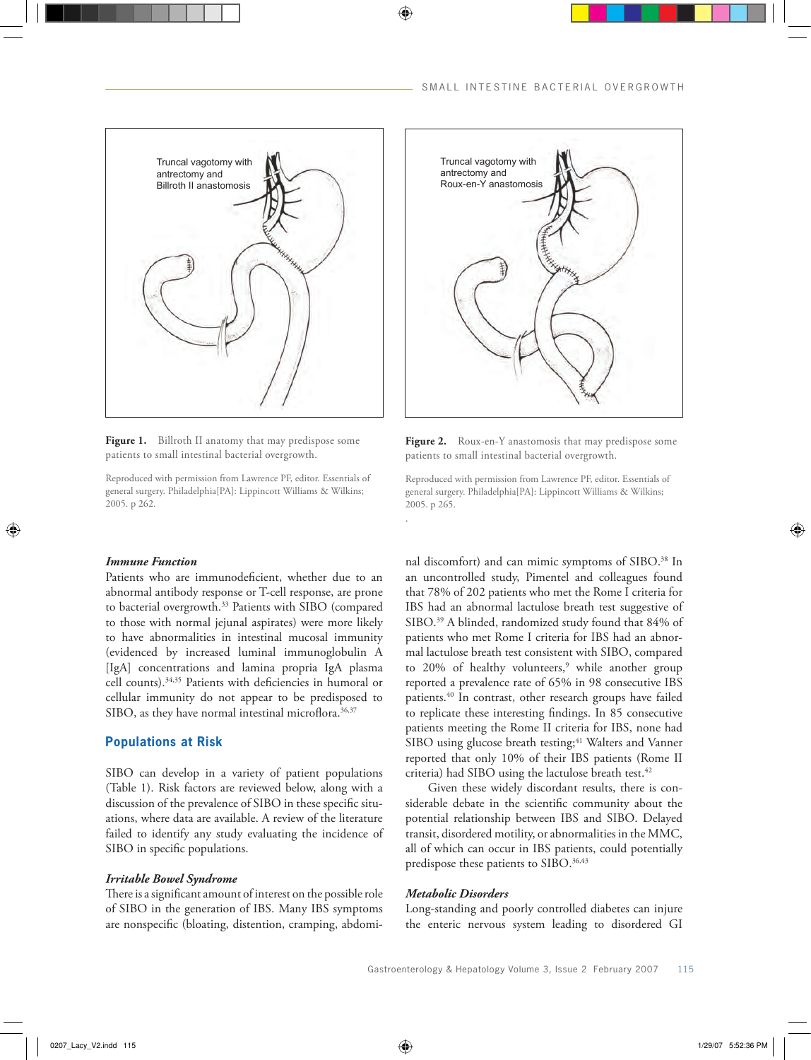

Figure 1. Billroth II anatomy that may predispose some patients to small intestinal bacterial overgrowth.

Reproduced with permission from Lawrence PF, editor. Essentials of general surgery. Philadelphia[PA]: Lippincott Williams & Wilkins; 2005. p 262.

# *Immune Function*

Patients who are immunodeficient, whether due to an abnormal antibody response or T-cell response, are prone to bacterial overgrowth.33 Patients with SIBO (compared to those with normal jejunal aspirates) were more likely to have abnormalities in intestinal mucosal immunity (evidenced by increased luminal immunoglobulin A [IgA] concentrations and lamina propria IgA plasma cell counts).34,35 Patients with deficiencies in humoral or cellular immunity do not appear to be predisposed to SIBO, as they have normal intestinal microflora.<sup>36,37</sup>

# **Populations at Risk**

SIBO can develop in a variety of patient populations (Table 1). Risk factors are reviewed below, along with a discussion of the prevalence of SIBO in these specific situations, where data are available. A review of the literature failed to identify any study evaluating the incidence of SIBO in specific populations.

#### *Irritable Bowel Syndrome*

There is a significant amount of interest on the possible role of SIBO in the generation of IBS. Many IBS symptoms are nonspecific (bloating, distention, cramping, abdomi-



Figure 2. Roux-en-Y anastomosis that may predispose some patients to small intestinal bacterial overgrowth.

Reproduced with permission from Lawrence PF, editor. Essentials of general surgery. Philadelphia[PA]: Lippincott Williams & Wilkins; 2005. p 265.

nal discomfort) and can mimic symptoms of SIBO.<sup>38</sup> In an uncontrolled study, Pimentel and colleagues found that 78% of 202 patients who met the Rome I criteria for IBS had an abnormal lactulose breath test suggestive of SIBO.<sup>39</sup> A blinded, randomized study found that 84% of patients who met Rome I criteria for IBS had an abnormal lactulose breath test consistent with SIBO, compared to 20% of healthy volunteers,<sup>9</sup> while another group reported a prevalence rate of 65% in 98 consecutive IBS patients.40 In contrast, other research groups have failed to replicate these interesting findings. In 85 consecutive patients meeting the Rome II criteria for IBS, none had SIBO using glucose breath testing;<sup>41</sup> Walters and Vanner reported that only 10% of their IBS patients (Rome II criteria) had SIBO using the lactulose breath test.<sup>42</sup>

Given these widely discordant results, there is considerable debate in the scientific community about the potential relationship between IBS and SIBO. Delayed transit, disordered motility, or abnormalities in the MMC, all of which can occur in IBS patients, could potentially predispose these patients to SIBO.<sup>36,43</sup>

# *Metabolic Disorders*

.

Long-standing and poorly controlled diabetes can injure the enteric nervous system leading to disordered GI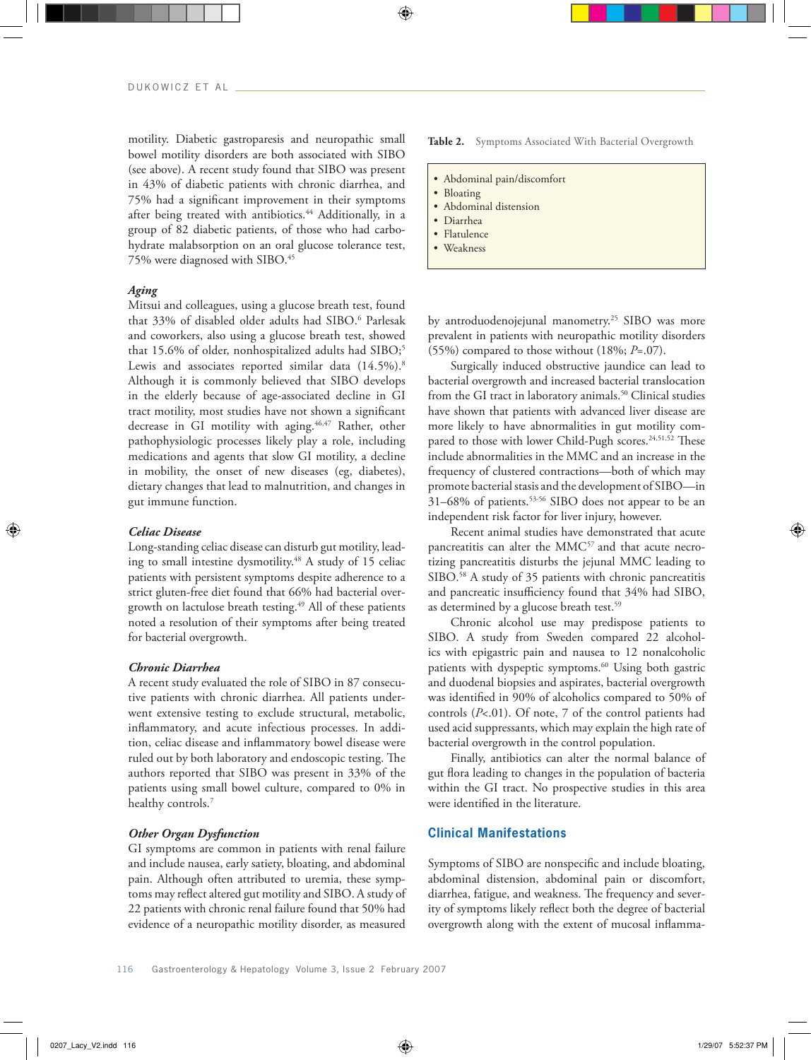motility. Diabetic gastroparesis and neuropathic small bowel motility disorders are both associated with SIBO (see above). A recent study found that SIBO was present in 43% of diabetic patients with chronic diarrhea, and 75% had a significant improvement in their symptoms after being treated with antibiotics.<sup>44</sup> Additionally, in a group of 82 diabetic patients, of those who had carbohydrate malabsorption on an oral glucose tolerance test, 75% were diagnosed with SIBO.45

## *Aging*

Mitsui and colleagues, using a glucose breath test, found that 33% of disabled older adults had SIBO.6 Parlesak and coworkers, also using a glucose breath test, showed that 15.6% of older, nonhospitalized adults had SIBO;<sup>5</sup> Lewis and associates reported similar data (14.5%).<sup>8</sup> Although it is commonly believed that SIBO develops in the elderly because of age-associated decline in GI tract motility, most studies have not shown a significant decrease in GI motility with aging.<sup>46,47</sup> Rather, other pathophysiologic processes likely play a role, including medications and agents that slow GI motility, a decline in mobility, the onset of new diseases (eg, diabetes), dietary changes that lead to malnutrition, and changes in gut immune function.

## *Celiac Disease*

Long-standing celiac disease can disturb gut motility, leading to small intestine dysmotility.<sup>48</sup> A study of 15 celiac patients with persistent symptoms despite adherence to a strict gluten-free diet found that 66% had bacterial overgrowth on lactulose breath testing.49 All of these patients noted a resolution of their symptoms after being treated for bacterial overgrowth.

#### *Chronic Diarrhea*

A recent study evaluated the role of SIBO in 87 consecutive patients with chronic diarrhea. All patients underwent extensive testing to exclude structural, metabolic, inflammatory, and acute infectious processes. In addition, celiac disease and inflammatory bowel disease were ruled out by both laboratory and endoscopic testing. The authors reported that SIBO was present in 33% of the patients using small bowel culture, compared to 0% in healthy controls.7

# *Other Organ Dysfunction*

GI symptoms are common in patients with renal failure and include nausea, early satiety, bloating, and abdominal pain. Although often attributed to uremia, these symptoms may reflect altered gut motility and SIBO. A study of 22 patients with chronic renal failure found that 50% had evidence of a neuropathic motility disorder, as measured

Table 2. Symptoms Associated With Bacterial Overgrowth

- Abdominal pain/discomfort
- Bloating
- Abdominal distension
- Diarrhea
- Flatulence
- Weakness

by antroduodenojejunal manometry.<sup>25</sup> SIBO was more prevalent in patients with neuropathic motility disorders (55%) compared to those without (18%; *P*=.07).

Surgically induced obstructive jaundice can lead to bacterial overgrowth and increased bacterial translocation from the GI tract in laboratory animals.<sup>50</sup> Clinical studies have shown that patients with advanced liver disease are more likely to have abnormalities in gut motility compared to those with lower Child-Pugh scores.<sup>24,51,52</sup> These include abnormalities in the MMC and an increase in the frequency of clustered contractions—both of which may promote bacterial stasis and the development of SIBO—in 31–68% of patients.53-56 SIBO does not appear to be an independent risk factor for liver injury, however.

Recent animal studies have demonstrated that acute pancreatitis can alter the MMC57 and that acute necrotizing pancreatitis disturbs the jejunal MMC leading to SIBO.<sup>58</sup> A study of 35 patients with chronic pancreatitis and pancreatic insufficiency found that 34% had SIBO, as determined by a glucose breath test.<sup>59</sup>

Chronic alcohol use may predispose patients to SIBO. A study from Sweden compared 22 alcoholics with epigastric pain and nausea to 12 nonalcoholic patients with dyspeptic symptoms.<sup>60</sup> Using both gastric and duodenal biopsies and aspirates, bacterial overgrowth was identified in 90% of alcoholics compared to 50% of controls (*P*<.01). Of note, 7 of the control patients had used acid suppressants, which may explain the high rate of bacterial overgrowth in the control population.

Finally, antibiotics can alter the normal balance of gut flora leading to changes in the population of bacteria within the GI tract. No prospective studies in this area were identified in the literature.

# **Clinical Manifestations**

Symptoms of SIBO are nonspecific and include bloating, abdominal distension, abdominal pain or discomfort, diarrhea, fatigue, and weakness. The frequency and severity of symptoms likely reflect both the degree of bacterial overgrowth along with the extent of mucosal inflamma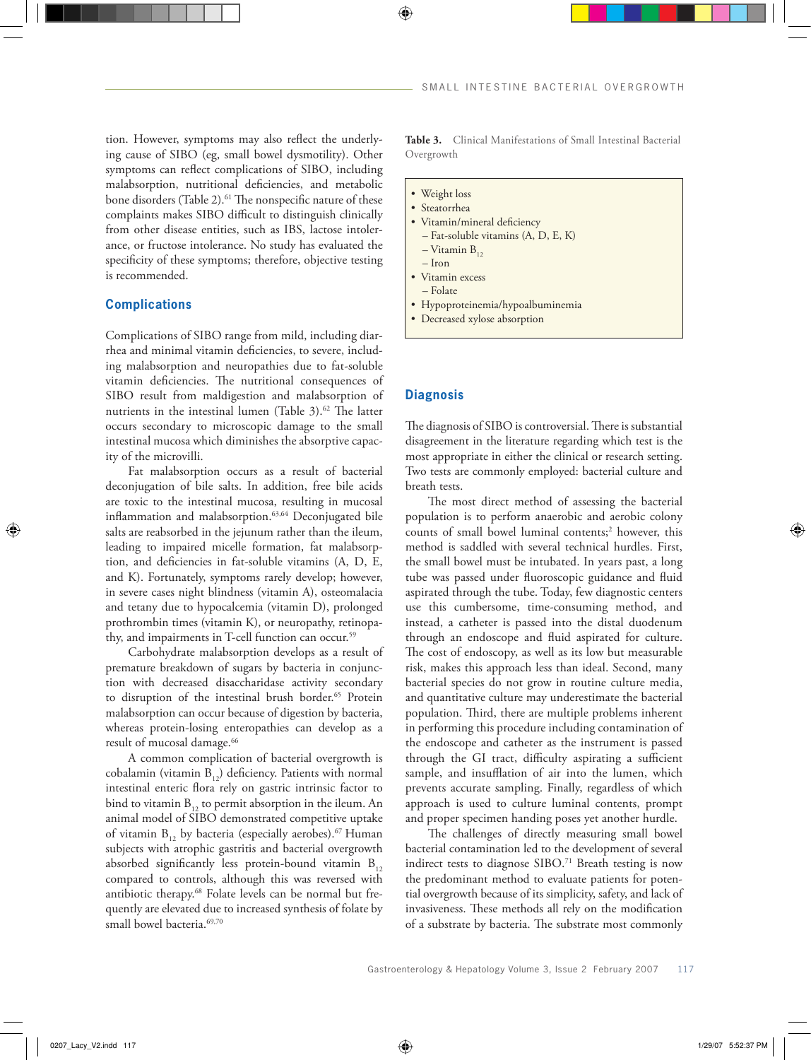tion. However, symptoms may also reflect the underlying cause of SIBO (eg, small bowel dysmotility). Other symptoms can reflect complications of SIBO, including malabsorption, nutritional deficiencies, and metabolic bone disorders (Table 2).<sup>61</sup> The nonspecific nature of these complaints makes SIBO difficult to distinguish clinically from other disease entities, such as IBS, lactose intolerance, or fructose intolerance. No study has evaluated the specificity of these symptoms; therefore, objective testing is recommended.

# **Complications**

Complications of SIBO range from mild, including diarrhea and minimal vitamin deficiencies, to severe, including malabsorption and neuropathies due to fat-soluble vitamin deficiencies. The nutritional consequences of SIBO result from maldigestion and malabsorption of nutrients in the intestinal lumen (Table 3).<sup>62</sup> The latter occurs secondary to microscopic damage to the small intestinal mucosa which diminishes the absorptive capacity of the microvilli.

Fat malabsorption occurs as a result of bacterial deconjugation of bile salts. In addition, free bile acids are toxic to the intestinal mucosa, resulting in mucosal inflammation and malabsorption.<sup>63,64</sup> Deconjugated bile salts are reabsorbed in the jejunum rather than the ileum, leading to impaired micelle formation, fat malabsorption, and deficiencies in fat-soluble vitamins (A, D, E, and K). Fortunately, symptoms rarely develop; however, in severe cases night blindness (vitamin A), osteomalacia and tetany due to hypocalcemia (vitamin D), prolonged prothrombin times (vitamin K), or neuropathy, retinopathy, and impairments in T-cell function can occur.<sup>59</sup>

Carbohydrate malabsorption develops as a result of premature breakdown of sugars by bacteria in conjunction with decreased disaccharidase activity secondary to disruption of the intestinal brush border.<sup>65</sup> Protein malabsorption can occur because of digestion by bacteria, whereas protein-losing enteropathies can develop as a result of mucosal damage.<sup>66</sup>

A common complication of bacterial overgrowth is cobalamin (vitamin  $B_{12}$ ) deficiency. Patients with normal intestinal enteric flora rely on gastric intrinsic factor to bind to vitamin  $B_{12}$  to permit absorption in the ileum. An animal model of SIBO demonstrated competitive uptake of vitamin  $B_{12}$  by bacteria (especially aerobes).<sup>67</sup> Human subjects with atrophic gastritis and bacterial overgrowth absorbed significantly less protein-bound vitamin  $B_{12}$ compared to controls, although this was reversed with antibiotic therapy.68 Folate levels can be normal but frequently are elevated due to increased synthesis of folate by small bowel bacteria.<sup>69,70</sup>

**Table 3.** Clinical Manifestations of Small Intestinal Bacterial Overgrowth

- Weight loss
- Steatorrhea
- Vitamin/mineral deficiency – Fat-soluble vitamins (A, D, E, K)
	- $-$  Vitamin  $B_{12}$
	- Iron
- Vitamin excess
- Folate
- Hypoproteinemia/hypoalbuminemia
- Decreased xylose absorption

# **Diagnosis**

The diagnosis of SIBO is controversial. There is substantial disagreement in the literature regarding which test is the most appropriate in either the clinical or research setting. Two tests are commonly employed: bacterial culture and breath tests.

The most direct method of assessing the bacterial population is to perform anaerobic and aerobic colony counts of small bowel luminal contents;<sup>2</sup> however, this method is saddled with several technical hurdles. First, the small bowel must be intubated. In years past, a long tube was passed under fluoroscopic guidance and fluid aspirated through the tube. Today, few diagnostic centers use this cumbersome, time-consuming method, and instead, a catheter is passed into the distal duodenum through an endoscope and fluid aspirated for culture. The cost of endoscopy, as well as its low but measurable risk, makes this approach less than ideal. Second, many bacterial species do not grow in routine culture media, and quantitative culture may underestimate the bacterial population. Third, there are multiple problems inherent in performing this procedure including contamination of the endoscope and catheter as the instrument is passed through the GI tract, difficulty aspirating a sufficient sample, and insufflation of air into the lumen, which prevents accurate sampling. Finally, regardless of which approach is used to culture luminal contents, prompt and proper specimen handing poses yet another hurdle.

The challenges of directly measuring small bowel bacterial contamination led to the development of several indirect tests to diagnose SIBO.<sup>71</sup> Breath testing is now the predominant method to evaluate patients for potential overgrowth because of its simplicity, safety, and lack of invasiveness. These methods all rely on the modification of a substrate by bacteria. The substrate most commonly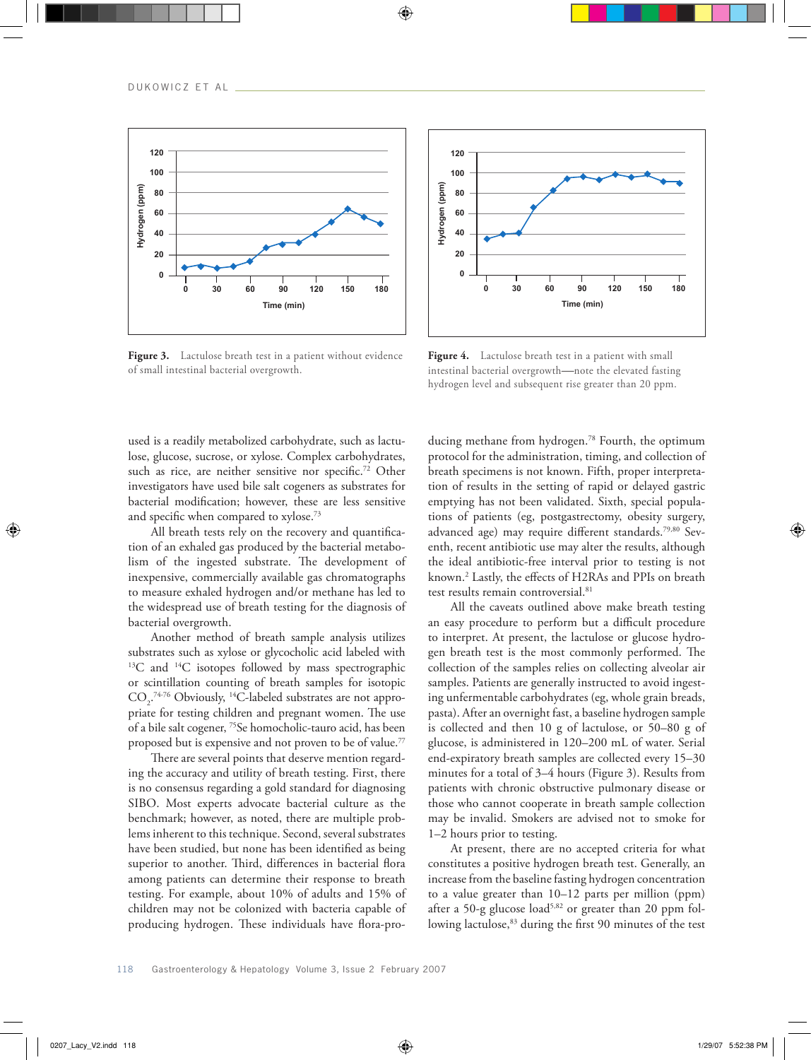

Figure 3. Lactulose breath test in a patient without evidence of small intestinal bacterial overgrowth.



Figure 4. Lactulose breath test in a patient with small intestinal bacterial overgrowth—note the elevated fasting hydrogen level and subsequent rise greater than 20 ppm.

used is a readily metabolized carbohydrate, such as lactulose, glucose, sucrose, or xylose. Complex carbohydrates, such as rice, are neither sensitive nor specific.<sup>72</sup> Other investigators have used bile salt cogeners as substrates for bacterial modification; however, these are less sensitive and specific when compared to xylose.73

All breath tests rely on the recovery and quantification of an exhaled gas produced by the bacterial metabolism of the ingested substrate. The development of inexpensive, commercially available gas chromatographs to measure exhaled hydrogen and/or methane has led to the widespread use of breath testing for the diagnosis of bacterial overgrowth.

Another method of breath sample analysis utilizes substrates such as xylose or glycocholic acid labeled with  $13C$  and  $14C$  isotopes followed by mass spectrographic or scintillation counting of breath samples for isotopic  $CO<sub>2</sub>$ <sup>74-76</sup> Obviously, <sup>14</sup>C-labeled substrates are not appropriate for testing children and pregnant women. The use of a bile salt cogener, 75Se homocholic-tauro acid, has been proposed but is expensive and not proven to be of value.<sup>77</sup>

There are several points that deserve mention regarding the accuracy and utility of breath testing. First, there is no consensus regarding a gold standard for diagnosing SIBO. Most experts advocate bacterial culture as the benchmark; however, as noted, there are multiple problems inherent to this technique. Second, several substrates have been studied, but none has been identified as being superior to another. Third, differences in bacterial flora among patients can determine their response to breath testing. For example, about 10% of adults and 15% of children may not be colonized with bacteria capable of producing hydrogen. These individuals have flora-producing methane from hydrogen.78 Fourth, the optimum protocol for the administration, timing, and collection of breath specimens is not known. Fifth, proper interpretation of results in the setting of rapid or delayed gastric emptying has not been validated. Sixth, special populations of patients (eg, postgastrectomy, obesity surgery, advanced age) may require different standards.79,80 Seventh, recent antibiotic use may alter the results, although the ideal antibiotic-free interval prior to testing is not known.2 Lastly, the effects of H2RAs and PPIs on breath test results remain controversial.81

All the caveats outlined above make breath testing an easy procedure to perform but a difficult procedure to interpret. At present, the lactulose or glucose hydrogen breath test is the most commonly performed. The collection of the samples relies on collecting alveolar air samples. Patients are generally instructed to avoid ingesting unfermentable carbohydrates (eg, whole grain breads, pasta). After an overnight fast, a baseline hydrogen sample is collected and then 10 g of lactulose, or 50–80 g of glucose, is administered in 120–200 mL of water. Serial end-expiratory breath samples are collected every 15–30 minutes for a total of 3–4 hours (Figure 3). Results from patients with chronic obstructive pulmonary disease or those who cannot cooperate in breath sample collection may be invalid. Smokers are advised not to smoke for 1–2 hours prior to testing.

At present, there are no accepted criteria for what constitutes a positive hydrogen breath test. Generally, an increase from the baseline fasting hydrogen concentration to a value greater than 10–12 parts per million (ppm) after a 50-g glucose load<sup>5,82</sup> or greater than 20 ppm following lactulose,<sup>83</sup> during the first 90 minutes of the test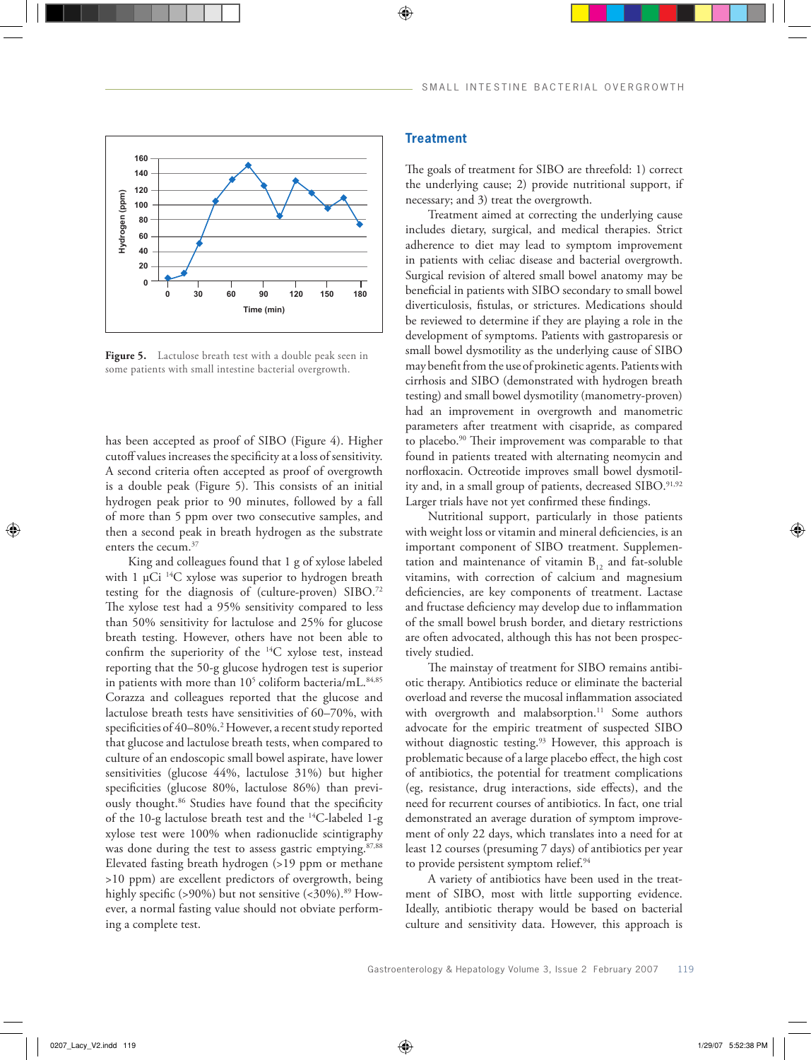

Figure 5. Lactulose breath test with a double peak seen in some patients with small intestine bacterial overgrowth.

has been accepted as proof of SIBO (Figure 4). Higher cutoff values increases the specificity at a loss of sensitivity. A second criteria often accepted as proof of overgrowth is a double peak (Figure 5). This consists of an initial hydrogen peak prior to 90 minutes, followed by a fall of more than 5 ppm over two consecutive samples, and then a second peak in breath hydrogen as the substrate enters the cecum.37

King and colleagues found that 1 g of xylose labeled with 1  $\mu$ Ci <sup>14</sup>C xylose was superior to hydrogen breath testing for the diagnosis of (culture-proven) SIBO.72 The xylose test had a 95% sensitivity compared to less than 50% sensitivity for lactulose and 25% for glucose breath testing. However, others have not been able to confirm the superiority of the 14C xylose test, instead reporting that the 50-g glucose hydrogen test is superior in patients with more than  $10^5$  coliform bacteria/mL. $^{84,85}\,$ Corazza and colleagues reported that the glucose and lactulose breath tests have sensitivities of 60–70%, with specificities of 40–80%.2 However, a recent study reported that glucose and lactulose breath tests, when compared to culture of an endoscopic small bowel aspirate, have lower sensitivities (glucose 44%, lactulose 31%) but higher specificities (glucose 80%, lactulose 86%) than previously thought.<sup>86</sup> Studies have found that the specificity of the 10-g lactulose breath test and the 14C-labeled 1-g xylose test were 100% when radionuclide scintigraphy was done during the test to assess gastric emptying.<sup>87,88</sup> Elevated fasting breath hydrogen (>19 ppm or methane >10 ppm) are excellent predictors of overgrowth, being highly specific (>90%) but not sensitive (<30%).<sup>89</sup> However, a normal fasting value should not obviate performing a complete test.

# **Treatment**

The goals of treatment for SIBO are threefold: 1) correct the underlying cause; 2) provide nutritional support, if necessary; and 3) treat the overgrowth.

Treatment aimed at correcting the underlying cause includes dietary, surgical, and medical therapies. Strict adherence to diet may lead to symptom improvement in patients with celiac disease and bacterial overgrowth. Surgical revision of altered small bowel anatomy may be beneficial in patients with SIBO secondary to small bowel diverticulosis, fistulas, or strictures. Medications should be reviewed to determine if they are playing a role in the development of symptoms. Patients with gastroparesis or small bowel dysmotility as the underlying cause of SIBO may benefit from the use of prokinetic agents. Patients with cirrhosis and SIBO (demonstrated with hydrogen breath testing) and small bowel dysmotility (manometry-proven) had an improvement in overgrowth and manometric parameters after treatment with cisapride, as compared to placebo.<sup>90</sup> Their improvement was comparable to that found in patients treated with alternating neomycin and norfloxacin. Octreotide improves small bowel dysmotility and, in a small group of patients, decreased SIBO.<sup>91,92</sup> Larger trials have not yet confirmed these findings.

Nutritional support, particularly in those patients with weight loss or vitamin and mineral deficiencies, is an important component of SIBO treatment. Supplementation and maintenance of vitamin  $B_{12}$  and fat-soluble vitamins, with correction of calcium and magnesium deficiencies, are key components of treatment. Lactase and fructase deficiency may develop due to inflammation of the small bowel brush border, and dietary restrictions are often advocated, although this has not been prospectively studied.

The mainstay of treatment for SIBO remains antibiotic therapy. Antibiotics reduce or eliminate the bacterial overload and reverse the mucosal inflammation associated with overgrowth and malabsorption.<sup>11</sup> Some authors advocate for the empiric treatment of suspected SIBO without diagnostic testing.<sup>93</sup> However, this approach is problematic because of a large placebo effect, the high cost of antibiotics, the potential for treatment complications (eg, resistance, drug interactions, side effects), and the need for recurrent courses of antibiotics. In fact, one trial demonstrated an average duration of symptom improvement of only 22 days, which translates into a need for at least 12 courses (presuming 7 days) of antibiotics per year to provide persistent symptom relief.<sup>94</sup>

A variety of antibiotics have been used in the treatment of SIBO, most with little supporting evidence. Ideally, antibiotic therapy would be based on bacterial culture and sensitivity data. However, this approach is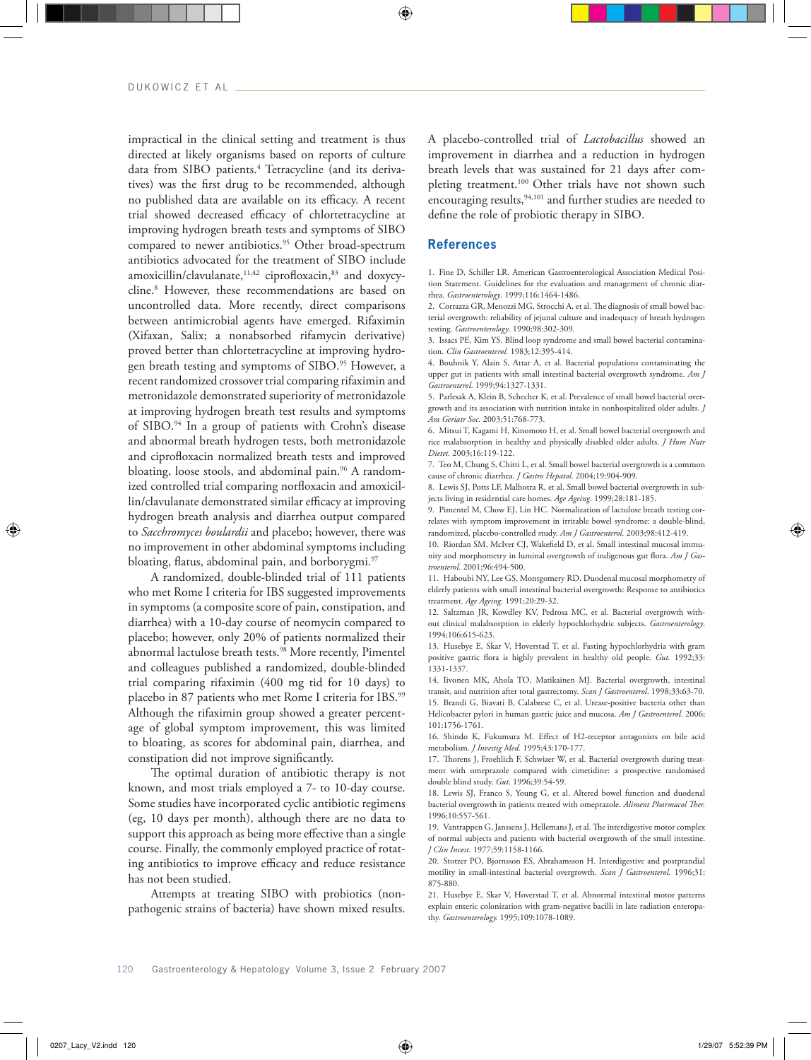impractical in the clinical setting and treatment is thus directed at likely organisms based on reports of culture data from SIBO patients.4 Tetracycline (and its derivatives) was the first drug to be recommended, although no published data are available on its efficacy. A recent trial showed decreased efficacy of chlortetracycline at improving hydrogen breath tests and symptoms of SIBO compared to newer antibiotics.<sup>95</sup> Other broad-spectrum antibiotics advocated for the treatment of SIBO include amoxicillin/clavulanate,<sup>11,42</sup> ciprofloxacin,<sup>83</sup> and doxycycline.8 However, these recommendations are based on uncontrolled data. More recently, direct comparisons between antimicrobial agents have emerged. Rifaximin (Xifaxan, Salix; a nonabsorbed rifamycin derivative) proved better than chlortetracycline at improving hydrogen breath testing and symptoms of SIBO.<sup>95</sup> However, a recent randomized crossover trial comparing rifaximin and metronidazole demonstrated superiority of metronidazole at improving hydrogen breath test results and symptoms of SIBO.94 In a group of patients with Crohn's disease and abnormal breath hydrogen tests, both metronidazole and ciprofloxacin normalized breath tests and improved bloating, loose stools, and abdominal pain.<sup>96</sup> A randomized controlled trial comparing norfloxacin and amoxicillin/clavulanate demonstrated similar efficacy at improving hydrogen breath analysis and diarrhea output compared to *Sacchromyces boulardii* and placebo; however, there was no improvement in other abdominal symptoms including bloating, flatus, abdominal pain, and borborygmi.<sup>97</sup>

A randomized, double-blinded trial of 111 patients who met Rome I criteria for IBS suggested improvements in symptoms (a composite score of pain, constipation, and diarrhea) with a 10-day course of neomycin compared to placebo; however, only 20% of patients normalized their abnormal lactulose breath tests.98 More recently, Pimentel and colleagues published a randomized, double-blinded trial comparing rifaximin (400 mg tid for 10 days) to placebo in 87 patients who met Rome I criteria for IBS.<sup>99</sup> Although the rifaximin group showed a greater percentage of global symptom improvement, this was limited to bloating, as scores for abdominal pain, diarrhea, and constipation did not improve significantly.

The optimal duration of antibiotic therapy is not known, and most trials employed a 7- to 10-day course. Some studies have incorporated cyclic antibiotic regimens (eg, 10 days per month), although there are no data to support this approach as being more effective than a single course. Finally, the commonly employed practice of rotating antibiotics to improve efficacy and reduce resistance has not been studied.

Attempts at treating SIBO with probiotics (nonpathogenic strains of bacteria) have shown mixed results. A placebo-controlled trial of *Lactobacillus* showed an improvement in diarrhea and a reduction in hydrogen breath levels that was sustained for 21 days after completing treatment.<sup>100</sup> Other trials have not shown such encouraging results,<sup>94,101</sup> and further studies are needed to define the role of probiotic therapy in SIBO.

# **References**

1. Fine D, Schiller LR. American Gastroenterological Association Medical Position Statement. Guidelines for the evaluation and management of chronic diarrhea. *Gastroenterology*. 1999;116:1464-1486.

2. Corrazza GR, Menozzi MG, Strocchi A, et al. The diagnosis of small bowel bacterial overgrowth: reliability of jejunal culture and inadequacy of breath hydrogen testing. *Gastroenterology*. 1990;98:302-309.

3. Issacs PE, Kim YS. Blind loop syndrome and small bowel bacterial contamination. *Clin Gastroenterol.* 1983;12:395-414.

4. Bouhnik Y, Alain S, Attar A, et al. Bacterial populations contaminating the upper gut in patients with small intestinal bacterial overgrowth syndrome. *Am J Gastroenterol*. 1999;94:1327-1331.

5. Parlesak A, Klein B, Schecher K, et al. Prevalence of small bowel bacterial overgrowth and its association with nutrition intake in nonhospitalized older adults. *J Am Geriatr Soc.* 2003;51:768-773.

6. Mitsui T, Kagami H, Kinomoto H, et al. Small bowel bacterial overgrowth and rice malabsorption in healthy and physically disabled older adults. *J Hum Nutr Dietet.* 2003;16:119-122.

7. Teo M, Chung S, Chitti L, et al. Small bowel bacterial overgrowth is a common cause of chronic diarrhea. *J Gastro Hepatol*. 2004;19:904-909.

8. Lewis SJ, Potts LF, Malhotra R, et al. Small bowel bacterial overgrowth in subjects living in residential care homes. *Age Ageing.* 1999;28:181-185.

9. Pimentel M, Chow EJ, Lin HC. Normalization of lactulose breath testing correlates with symptom improvement in irritable bowel syndrome: a double-blind, randomized, placebo-controlled study. *Am J Gastroenterol*. 2003;98:412-419.

10. Riordan SM, McIver CJ, Wakefield D, et al. Small intestinal mucosal immunity and morphometry in luminal overgrowth of indigenous gut flora. *Am J Gastroenterol.* 2001;96:494-500.

11. Haboubi NY, Lee GS, Montgomery RD. Duodenal mucosal morphometry of elderly patients with small intestinal bacterial overgrowth: Response to antibiotics treatment. *Age Ageing*. 1991;20:29-32.

12. Saltzman JR, Kowdley KV, Pedrosa MC, et al. Bacterial overgrowth without clinical malabsorption in elderly hypochlorhydric subjects. *Gastroenterology*. 1994;106:615-623.

13. Husebye E, Skar V, Hoverstad T, et al. Fasting hypochlorhydria with gram positive gastric flora is highly prevalent in healthy old people. *Gut.* 1992;33: 1331-1337.

14. Iivonen MK, Ahola TO, Matikainen MJ. Bacterial overgrowth, intestinal transit, and nutrition after total gastrectomy. *Scan J Gastroenterol*. 1998;33:63-70. 15. Brandi G, Biavati B, Calabrese C, et al. Urease-positive bacteria other than Helicobacter pylori in human gastric juice and mucosa. *Am J Gastroenterol.* 2006; 101:1756-1761.

16. Shindo K, Fukumura M. Effect of H2-receptor antagonists on bile acid metabolism. *J Investig Med.* 1995;43:170-177.

17. Thorens J, Froehlich F, Schwizer W, et al. Bacterial overgrowth during treatment with omeprazole compared with cimetidine: a prospective randomised double blind study. *Gut*. 1996;39:54-59.

18. Lewis SJ, Franco S, Young G, et al. Altered bowel function and duodenal bacterial overgrowth in patients treated with omeprazole. *Aliment Pharmacol Ther.* 1996;10:557-561.

19. Vantrappen G, Janssens J, Hellemans J, et al. The interdigestive motor complex of normal subjects and patients with bacterial overgrowth of the small intestine. *J Clin Invest.* 1977;59:1158-1166.

20. Stotzer PO, Bjornsson ES, Abrahamsson H. Interdigestive and postprandial motility in small-intestinal bacterial overgrowth. *Scan J Gastroenterol.* 1996;31: 875-880.

21. Husebye E, Skar V, Hoverstad T, et al. Abnormal intestinal motor patterns explain enteric colonization with gram-negative bacilli in late radiation enteropathy. *Gastroenterology.* 1995;109:1078-1089.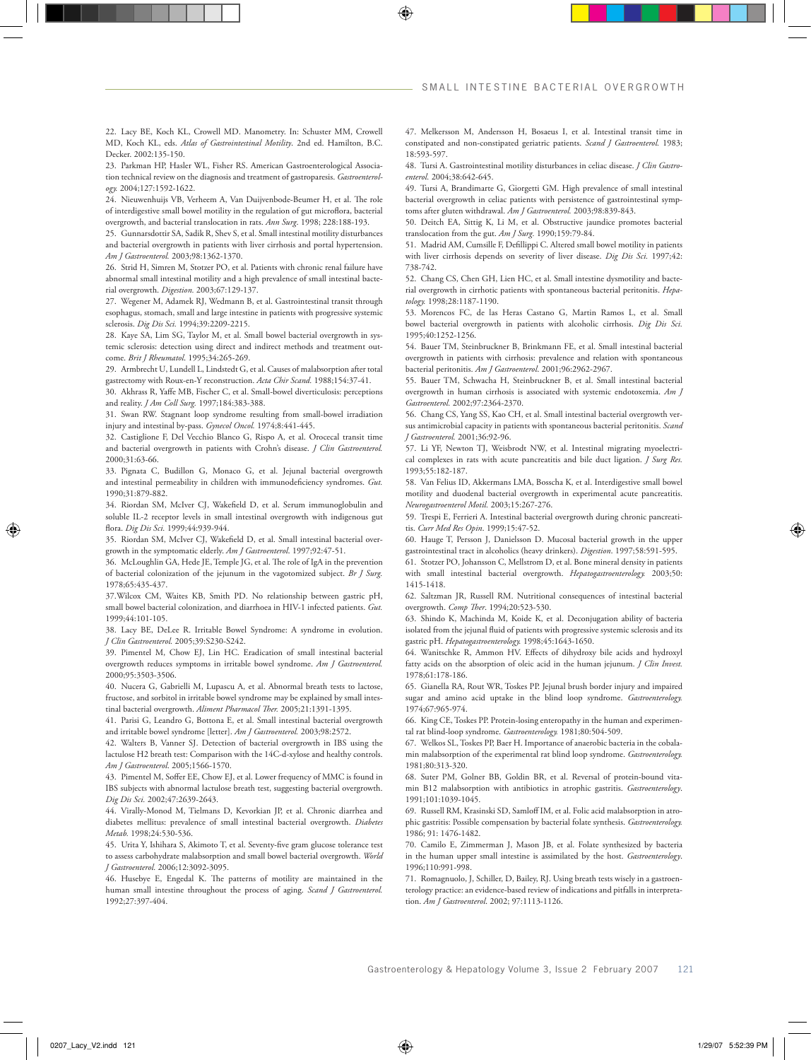22. Lacy BE, Koch KL, Crowell MD. Manometry. In: Schuster MM, Crowell MD, Koch KL, eds. *Atlas of Gastrointestinal Motility*. 2nd ed. Hamilton, B.C. Decker. 2002:135-150.

23. Parkman HP, Hasler WL, Fisher RS. American Gastroenterological Association technical review on the diagnosis and treatment of gastroparesis. *Gastroenterology.* 2004;127:1592-1622.

24. Nieuwenhuijs VB, Verheem A, Van Duijvenbode-Beumer H, et al. The role of interdigestive small bowel motility in the regulation of gut microflora, bacterial overgrowth, and bacterial translocation in rats. *Ann Surg*. 1998; 228:188-193.

25. Gunnarsdottir SA, Sadik R, Shev S, et al. Small intestinal motility disturbances and bacterial overgrowth in patients with liver cirrhosis and portal hypertension. *Am J Gastroenterol.* 2003;98:1362-1370.

26. Strid H, Simren M, Stotzer PO, et al. Patients with chronic renal failure have abnormal small intestinal motility and a high prevalence of small intestinal bacterial overgrowth. *Digestion.* 2003;67:129-137.

27. Wegener M, Adamek RJ, Wedmann B, et al. Gastrointestinal transit through esophagus, stomach, small and large intestine in patients with progressive systemic sclerosis. *Dig Dis Sci.* 1994;39:2209-2215.

28. Kaye SA, Lim SG, Taylor M, et al. Small bowel bacterial overgrowth in systemic sclerosis: detection using direct and indirect methods and treatment outcome. *Brit J Rheumatol*. 1995;34:265-269.

29. Armbrecht U, Lundell L, Lindstedt G, et al. Causes of malabsorption after total gastrectomy with Roux-en-Y reconstruction. *Acta Chir Scand.* 1988;154:37-41.

30. Akhrass R, Yaffe MB, Fischer C, et al. Small-bowel diverticulosis: perceptions and reality. *J Am Coll Surg.* 1997;184:383-388.

31. Swan RW. Stagnant loop syndrome resulting from small-bowel irradiation injury and intestinal by-pass. *Gynecol Oncol.* 1974;8:441-445.

32. Castiglione F, Del Vecchio Blanco G, Rispo A, et al. Orocecal transit time and bacterial overgrowth in patients with Crohn's disease. *J Clin Gastroenterol.*  2000;31:63-66.

33. Pignata C, Budillon G, Monaco G, et al. Jejunal bacterial overgrowth and intestinal permeability in children with immunodeficiency syndromes. *Gut.*  1990;31:879-882.

34. Riordan SM, McIver CJ, Wakefield D, et al. Serum immunoglobulin and soluble IL-2 receptor levels in small intestinal overgrowth with indigenous gut flora. *Dig Dis Sci.* 1999;44:939-944.

35. Riordan SM, McIver CJ, Wakefield D, et al. Small intestinal bacterial overgrowth in the symptomatic elderly. *Am J Gastroenterol*. 1997;92:47-51.

36. McLoughlin GA, Hede JE, Temple JG, et al. The role of IgA in the prevention of bacterial colonization of the jejunum in the vagotomized subject. *Br J Surg.*  1978;65:435-437.

37.Wilcox CM, Waites KB, Smith PD. No relationship between gastric pH, small bowel bacterial colonization, and diarrhoea in HIV-1 infected patients. *Gut.* 1999;44:101-105.

38. Lacy BE, DeLee R. Irritable Bowel Syndrome: A syndrome in evolution. *J Clin Gastroenterol.* 2005;39:S230-S242.

39. Pimentel M, Chow EJ, Lin HC. Eradication of small intestinal bacterial overgrowth reduces symptoms in irritable bowel syndrome. *Am J Gastroenterol.*  2000;95:3503-3506.

40. Nucera G, Gabrielli M, Lupascu A, et al. Abnormal breath tests to lactose, fructose, and sorbitol in irritable bowel syndrome may be explained by small intestinal bacterial overgrowth. *Aliment Pharmacol Ther.* 2005;21:1391-1395.

41. Parisi G, Leandro G, Bottona E, et al. Small intestinal bacterial overgrowth and irritable bowel syndrome [letter]. *Am J Gastroenterol.* 2003;98:2572.

42. Walters B, Vanner SJ. Detection of bacterial overgrowth in IBS using the lactulose H2 breath test: Comparison with the 14C-d-xylose and healthy controls. *Am J Gastroenterol*. 2005;1566-1570.

43. Pimentel M, Soffer EE, Chow EJ, et al. Lower frequency of MMC is found in IBS subjects with abnormal lactulose breath test, suggesting bacterial overgrowth. *Dig Dis Sci.* 2002;47:2639-2643.

44. Virally-Monod M, Tielmans D, Kevorkian JP, et al. Chronic diarrhea and diabetes mellitus: prevalence of small intestinal bacterial overgrowth. *Diabetes Metab.* 1998;24:530-536.

45. Urita Y, Ishihara S, Akimoto T, et al. Seventy-five gram glucose tolerance test to assess carbohydrate malabsorption and small bowel bacterial overgrowth. *World J Gastroenterol.* 2006;12:3092-3095.

46. Husebye E, Engedal K. The patterns of motility are maintained in the human small intestine throughout the process of aging. *Scand J Gastroenterol.*  1992;27:397-404.

47. Melkersson M, Andersson H, Bosaeus I, et al. Intestinal transit time in constipated and non-constipated geriatric patients. *Scand J Gastroenterol.* 1983; 18:593-597.

48. Tursi A. Gastrointestinal motility disturbances in celiac disease. *J Clin Gastroenterol.* 2004;38:642-645.

49. Tursi A, Brandimarte G, Giorgetti GM. High prevalence of small intestinal bacterial overgrowth in celiac patients with persistence of gastrointestinal symptoms after gluten withdrawal. *Am J Gastroenterol.* 2003;98:839-843.

50. Deitch EA, Sittig K, Li M, et al. Obstructive jaundice promotes bacterial translocation from the gut. *Am J Surg.* 1990;159:79-84.

51. Madrid AM, Cumsille F, Defillippi C. Altered small bowel motility in patients with liver cirrhosis depends on severity of liver disease. *Dig Dis Sci.* 1997;42: 738-742.

52. Chang CS, Chen GH, Lien HC, et al. Small intestine dysmotility and bacterial overgrowth in cirrhotic patients with spontaneous bacterial peritonitis. *Hepatology.* 1998;28:1187-1190.

53. Morencos FC, de las Heras Castano G, Martin Ramos L, et al. Small bowel bacterial overgrowth in patients with alcoholic cirrhosis. *Dig Dis Sci.*  1995;40:1252-1256.

54. Bauer TM, Steinbruckner B, Brinkmann FE, et al. Small intestinal bacterial overgrowth in patients with cirrhosis: prevalence and relation with spontaneous bacterial peritonitis. *Am J Gastroenterol*. 2001;96:2962-2967.

55. Bauer TM, Schwacha H, Steinbruckner B, et al. Small intestinal bacterial overgrowth in human cirrhosis is associated with systemic endotoxemia. *Am J Gastroenterol.* 2002;97:2364-2370.

56. Chang CS, Yang SS, Kao CH, et al. Small intestinal bacterial overgrowth versus antimicrobial capacity in patients with spontaneous bacterial peritonitis. *Scand J Gastroenterol.* 2001;36:92-96.

57. Li YF, Newton TJ, Weisbrodt NW, et al. Intestinal migrating myoelectrical complexes in rats with acute pancreatitis and bile duct ligation. *J Surg Res.*  1993;55:182-187.

58. Van Felius ID, Akkermans LMA, Bosscha K, et al. Interdigestive small bowel motility and duodenal bacterial overgrowth in experimental acute pancreatitis. *Neurogastroenterol Motil.* 2003;15:267-276.

59. Trespi E, Ferrieri A. Intestinal bacterial overgrowth during chronic pancreatitis. *Curr Med Res Opin*. 1999;15:47-52.

60. Hauge T, Persson J, Danielsson D. Mucosal bacterial growth in the upper gastrointestinal tract in alcoholics (heavy drinkers). *Digestion*. 1997;58:591-595.

61. Stotzer PO, Johansson C, Mellstrom D, et al. Bone mineral density in patients with small intestinal bacterial overgrowth. *Hepatogastroenterology.* 2003;50: 1415-1418.

62. Saltzman JR, Russell RM. Nutritional consequences of intestinal bacterial overgrowth. *Comp Ther*. 1994;20:523-530.

63. Shindo K, Machinda M, Koide K, et al. Deconjugation ability of bacteria isolated from the jejunal fluid of patients with progressive systemic sclerosis and its gastric pH. *Hepatogastroenterology.* 1998;45:1643-1650.

64. Wanitschke R, Ammon HV. Effects of dihydroxy bile acids and hydroxyl fatty acids on the absorption of oleic acid in the human jejunum. *J Clin Invest.*  1978;61:178-186.

65. Gianella RA, Rout WR, Toskes PP. Jejunal brush border injury and impaired sugar and amino acid uptake in the blind loop syndrome. *Gastroenterology.*  1974;67:965-974.

66. King CE, Toskes PP. Protein-losing enteropathy in the human and experimental rat blind-loop syndrome. *Gastroenterology.* 1981;80:504-509.

67. Welkos SL, Toskes PP, Baer H. Importance of anaerobic bacteria in the cobalamin malabsorption of the experimental rat blind loop syndrome. *Gastroenterology.*  1981;80:313-320.

68. Suter PM, Golner BB, Goldin BR, et al. Reversal of protein-bound vitamin B12 malabsorption with antibiotics in atrophic gastritis. *Gastroenterology*. 1991;101:1039-1045.

69. Russell RM, Krasinski SD, Samloff IM, et al. Folic acid malabsorption in atrophic gastritis: Possible compensation by bacterial folate synthesis. *Gastroenterology.* 1986; 91: 1476-1482.

70. Camilo E, Zimmerman J, Mason JB, et al. Folate synthesized by bacteria in the human upper small intestine is assimilated by the host. *Gastroenterology*. 1996;110:991-998.

71. Romagnuolo, J, Schiller, D, Bailey, RJ. Using breath tests wisely in a gastroenterology practice: an evidence-based review of indications and pitfalls in interpretation. *Am J Gastroenterol*. 2002; 97:1113-1126.